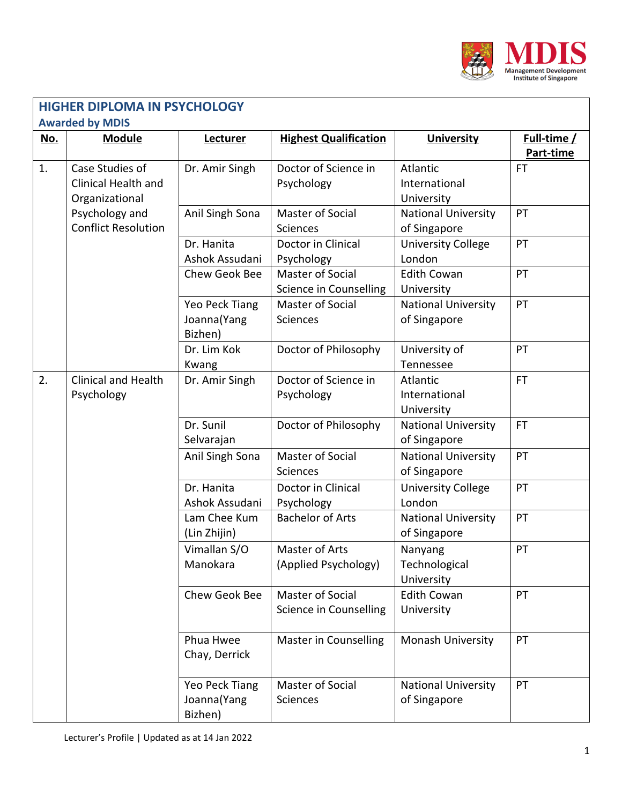

| <b>HIGHER DIPLOMA IN PSYCHOLOGY</b><br><b>Awarded by MDIS</b> |                                                          |                                          |                                            |                                            |                          |  |
|---------------------------------------------------------------|----------------------------------------------------------|------------------------------------------|--------------------------------------------|--------------------------------------------|--------------------------|--|
| No.                                                           | <b>Module</b>                                            | Lecturer                                 | <b>Highest Qualification</b>               | <b>University</b>                          | Full-time /<br>Part-time |  |
| 1.                                                            | Case Studies of<br>Clinical Health and<br>Organizational | Dr. Amir Singh                           | Doctor of Science in<br>Psychology         | Atlantic<br>International<br>University    | <b>FT</b>                |  |
|                                                               | Psychology and<br><b>Conflict Resolution</b>             | Anil Singh Sona                          | Master of Social<br>Sciences               | <b>National University</b><br>of Singapore | PT                       |  |
|                                                               |                                                          | Dr. Hanita<br>Ashok Assudani             | Doctor in Clinical<br>Psychology           | <b>University College</b><br>London        | PT                       |  |
|                                                               |                                                          | Chew Geok Bee                            | Master of Social<br>Science in Counselling | <b>Edith Cowan</b><br>University           | PT                       |  |
|                                                               |                                                          | Yeo Peck Tiang<br>Joanna(Yang<br>Bizhen) | Master of Social<br><b>Sciences</b>        | <b>National University</b><br>of Singapore | PT                       |  |
|                                                               |                                                          | Dr. Lim Kok<br>Kwang                     | Doctor of Philosophy                       | University of<br>Tennessee                 | PT                       |  |
| 2.                                                            | <b>Clinical and Health</b><br>Psychology                 | Dr. Amir Singh                           | Doctor of Science in<br>Psychology         | Atlantic<br>International<br>University    | <b>FT</b>                |  |
|                                                               |                                                          | Dr. Sunil<br>Selvarajan                  | Doctor of Philosophy                       | <b>National University</b><br>of Singapore | FT.                      |  |
|                                                               |                                                          | Anil Singh Sona                          | Master of Social<br>Sciences               | <b>National University</b><br>of Singapore | PT                       |  |
|                                                               |                                                          | Dr. Hanita<br>Ashok Assudani             | Doctor in Clinical<br>Psychology           | <b>University College</b><br>London        | PT                       |  |
|                                                               |                                                          | Lam Chee Kum<br>(Lin Zhijin)             | <b>Bachelor of Arts</b>                    | <b>National University</b><br>of Singapore | PT                       |  |
|                                                               |                                                          | Vimallan S/O<br>Manokara                 | Master of Arts<br>(Applied Psychology)     | Nanyang<br>Technological<br>University     | PT                       |  |
|                                                               |                                                          | Chew Geok Bee                            | Master of Social<br>Science in Counselling | <b>Edith Cowan</b><br>University           | PT                       |  |
|                                                               |                                                          | Phua Hwee<br>Chay, Derrick               | Master in Counselling                      | Monash University                          | PT                       |  |
|                                                               |                                                          | Yeo Peck Tiang<br>Joanna(Yang<br>Bizhen) | Master of Social<br>Sciences               | <b>National University</b><br>of Singapore | PT                       |  |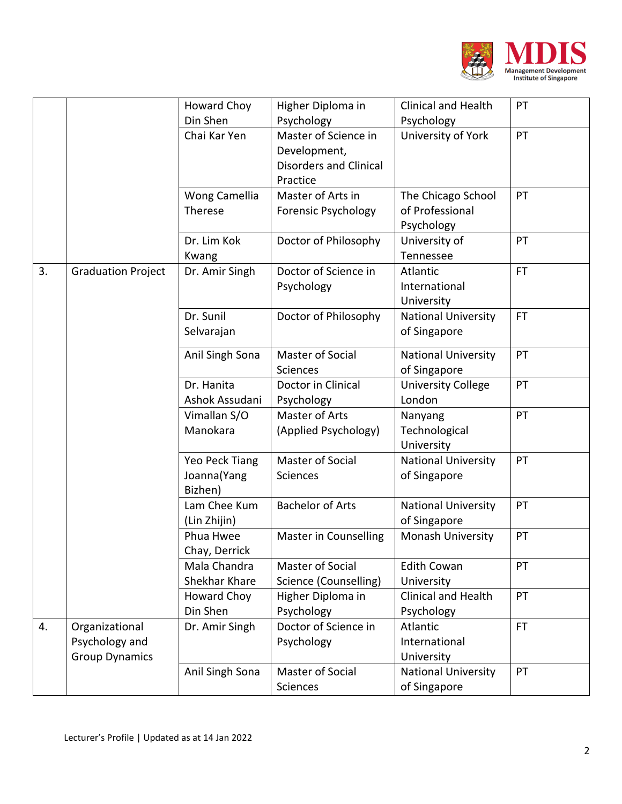

|    |                                                           | Howard Choy                              | Higher Diploma in                                                                 | <b>Clinical and Health</b>                          | PT        |
|----|-----------------------------------------------------------|------------------------------------------|-----------------------------------------------------------------------------------|-----------------------------------------------------|-----------|
|    |                                                           | Din Shen                                 | Psychology                                                                        | Psychology                                          |           |
|    |                                                           | Chai Kar Yen                             | Master of Science in<br>Development,<br><b>Disorders and Clinical</b><br>Practice | University of York                                  | PT        |
|    |                                                           | Wong Camellia<br>Therese                 | Master of Arts in<br><b>Forensic Psychology</b>                                   | The Chicago School<br>of Professional<br>Psychology | PT        |
|    |                                                           | Dr. Lim Kok<br>Kwang                     | Doctor of Philosophy                                                              | University of<br>Tennessee                          | PT        |
| 3. | <b>Graduation Project</b>                                 | Dr. Amir Singh                           | Doctor of Science in<br>Psychology                                                | Atlantic<br>International<br>University             | <b>FT</b> |
|    |                                                           | Dr. Sunil<br>Selvarajan                  | Doctor of Philosophy                                                              | <b>National University</b><br>of Singapore          | <b>FT</b> |
|    |                                                           | Anil Singh Sona                          | Master of Social<br><b>Sciences</b>                                               | <b>National University</b><br>of Singapore          | PT        |
|    |                                                           | Dr. Hanita<br>Ashok Assudani             | Doctor in Clinical<br>Psychology                                                  | <b>University College</b><br>London                 | PT        |
|    |                                                           | Vimallan S/O<br>Manokara                 | Master of Arts<br>(Applied Psychology)                                            | Nanyang<br>Technological<br>University              | PT        |
|    |                                                           | Yeo Peck Tiang<br>Joanna(Yang<br>Bizhen) | Master of Social<br>Sciences                                                      | <b>National University</b><br>of Singapore          | PT        |
|    |                                                           | Lam Chee Kum<br>(Lin Zhijin)             | <b>Bachelor of Arts</b>                                                           | <b>National University</b><br>of Singapore          | PT        |
|    |                                                           | Phua Hwee<br>Chay, Derrick               | Master in Counselling                                                             | Monash University                                   | PT        |
|    |                                                           | Mala Chandra<br>Shekhar Khare            | Master of Social<br>Science (Counselling)                                         | <b>Edith Cowan</b><br>University                    | PT        |
|    |                                                           | Howard Choy<br>Din Shen                  | Higher Diploma in<br>Psychology                                                   | Clinical and Health<br>Psychology                   | PT        |
| 4. | Organizational<br>Psychology and<br><b>Group Dynamics</b> | Dr. Amir Singh                           | Doctor of Science in<br>Psychology                                                | Atlantic<br>International<br>University             | FT.       |
|    |                                                           | Anil Singh Sona                          | Master of Social<br>Sciences                                                      | <b>National University</b><br>of Singapore          | PT        |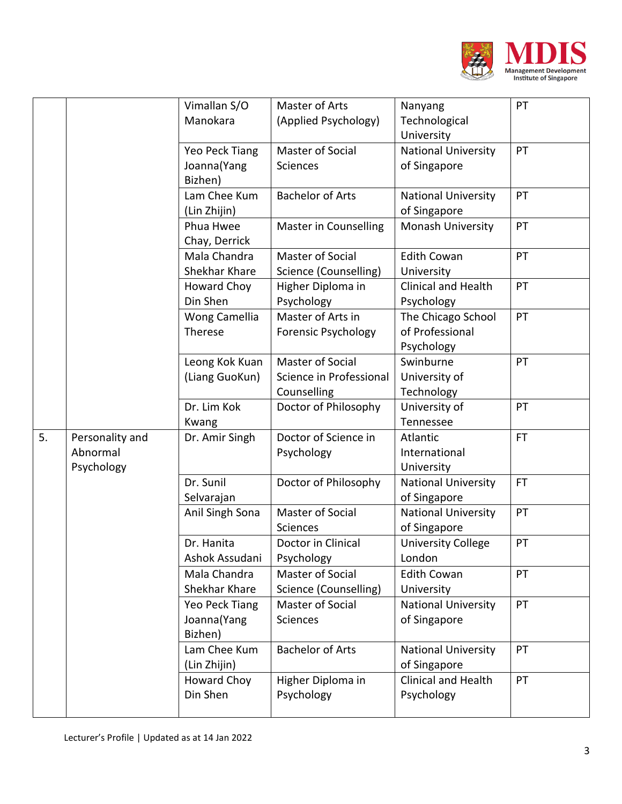

|    |                                           | Vimallan S/O<br>Manokara                  | Master of Arts<br>(Applied Psychology)                            | Nanyang<br>Technological<br>University              | PT        |
|----|-------------------------------------------|-------------------------------------------|-------------------------------------------------------------------|-----------------------------------------------------|-----------|
|    |                                           | Yeo Peck Tiang<br>Joanna (Yang<br>Bizhen) | <b>Master of Social</b><br>Sciences                               | <b>National University</b><br>of Singapore          | PT        |
|    |                                           | Lam Chee Kum<br>(Lin Zhijin)              | <b>Bachelor of Arts</b>                                           | <b>National University</b><br>of Singapore          | PT        |
|    |                                           | Phua Hwee<br>Chay, Derrick                | <b>Master in Counselling</b>                                      | Monash University                                   | PT        |
|    |                                           | Mala Chandra<br>Shekhar Khare             | Master of Social<br>Science (Counselling)                         | <b>Edith Cowan</b><br>University                    | PT        |
|    |                                           | Howard Choy<br>Din Shen                   | Higher Diploma in<br>Psychology                                   | <b>Clinical and Health</b><br>Psychology            | PT        |
|    |                                           | Wong Camellia<br>Therese                  | Master of Arts in<br><b>Forensic Psychology</b>                   | The Chicago School<br>of Professional<br>Psychology | PT        |
|    |                                           | Leong Kok Kuan<br>(Liang GuoKun)          | <b>Master of Social</b><br>Science in Professional<br>Counselling | Swinburne<br>University of<br>Technology            | PT        |
|    |                                           | Dr. Lim Kok<br>Kwang                      | Doctor of Philosophy                                              | University of<br>Tennessee                          | PT        |
| 5. | Personality and<br>Abnormal<br>Psychology | Dr. Amir Singh                            | Doctor of Science in<br>Psychology                                | Atlantic<br>International<br>University             | <b>FT</b> |
|    |                                           | Dr. Sunil<br>Selvarajan                   | Doctor of Philosophy                                              | <b>National University</b><br>of Singapore          | <b>FT</b> |
|    |                                           | Anil Singh Sona                           | <b>Master of Social</b><br>Sciences                               | <b>National University</b><br>of Singapore          | PT        |
|    |                                           | Dr. Hanita<br>Ashok Assudani              | Doctor in Clinical<br>Psychology                                  | <b>University College</b><br>London                 | PT        |
|    |                                           | Mala Chandra<br>Shekhar Khare             | Master of Social<br>Science (Counselling)                         | <b>Edith Cowan</b><br>University                    | PT        |
|    |                                           | Yeo Peck Tiang<br>Joanna (Yang<br>Bizhen) | Master of Social<br><b>Sciences</b>                               | <b>National University</b><br>of Singapore          | PT        |
|    |                                           | Lam Chee Kum<br>(Lin Zhijin)              | <b>Bachelor of Arts</b>                                           | <b>National University</b><br>of Singapore          | PT        |
|    |                                           | Howard Choy<br>Din Shen                   | Higher Diploma in<br>Psychology                                   | Clinical and Health<br>Psychology                   | PT        |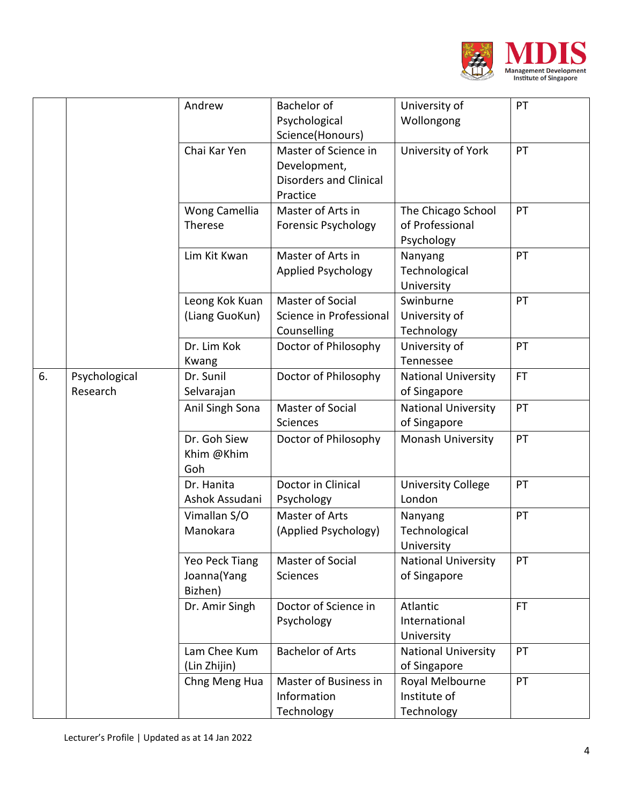

|    |               | Andrew          | Bachelor of                   | University of              | PT        |
|----|---------------|-----------------|-------------------------------|----------------------------|-----------|
|    |               |                 | Psychological                 | Wollongong                 |           |
|    |               |                 | Science(Honours)              |                            |           |
|    |               | Chai Kar Yen    | Master of Science in          | University of York         | PT        |
|    |               |                 | Development,                  |                            |           |
|    |               |                 | <b>Disorders and Clinical</b> |                            |           |
|    |               |                 | Practice                      |                            |           |
|    |               | Wong Camellia   | Master of Arts in             | The Chicago School         | PT        |
|    |               | Therese         | <b>Forensic Psychology</b>    | of Professional            |           |
|    |               |                 |                               | Psychology                 |           |
|    |               | Lim Kit Kwan    | Master of Arts in             | Nanyang                    | PT        |
|    |               |                 | <b>Applied Psychology</b>     | Technological              |           |
|    |               |                 |                               | University                 |           |
|    |               | Leong Kok Kuan  | Master of Social              | Swinburne                  | PT        |
|    |               | (Liang GuoKun)  | Science in Professional       | University of              |           |
|    |               |                 | Counselling                   | Technology                 |           |
|    |               | Dr. Lim Kok     | Doctor of Philosophy          | University of              | PT        |
|    |               | Kwang           |                               | Tennessee                  |           |
| 6. | Psychological | Dr. Sunil       | Doctor of Philosophy          | <b>National University</b> | <b>FT</b> |
|    | Research      | Selvarajan      |                               | of Singapore               |           |
|    |               | Anil Singh Sona | Master of Social              | <b>National University</b> | PT        |
|    |               |                 | Sciences                      | of Singapore               |           |
|    |               | Dr. Goh Siew    | Doctor of Philosophy          | Monash University          | PT        |
|    |               | Khim @Khim      |                               |                            |           |
|    |               | Goh             |                               |                            |           |
|    |               | Dr. Hanita      | Doctor in Clinical            | <b>University College</b>  | PT        |
|    |               | Ashok Assudani  | Psychology                    | London                     |           |
|    |               | Vimallan S/O    | Master of Arts                | Nanyang                    | PT        |
|    |               | Manokara        | (Applied Psychology)          | Technological              |           |
|    |               |                 |                               | University                 |           |
|    |               | Yeo Peck Tiang  | Master of Social              | <b>National University</b> | PT        |
|    |               | Joanna (Yang    | Sciences                      | of Singapore               |           |
|    |               | Bizhen)         |                               |                            |           |
|    |               | Dr. Amir Singh  | Doctor of Science in          | Atlantic                   | <b>FT</b> |
|    |               |                 | Psychology                    | International              |           |
|    |               |                 |                               | University                 |           |
|    |               | Lam Chee Kum    | <b>Bachelor of Arts</b>       | <b>National University</b> | PT        |
|    |               | (Lin Zhijin)    |                               | of Singapore               |           |
|    |               | Chng Meng Hua   | Master of Business in         | Royal Melbourne            | PT        |
|    |               |                 | Information                   | Institute of               |           |
|    |               |                 | Technology                    | Technology                 |           |
|    |               |                 |                               |                            |           |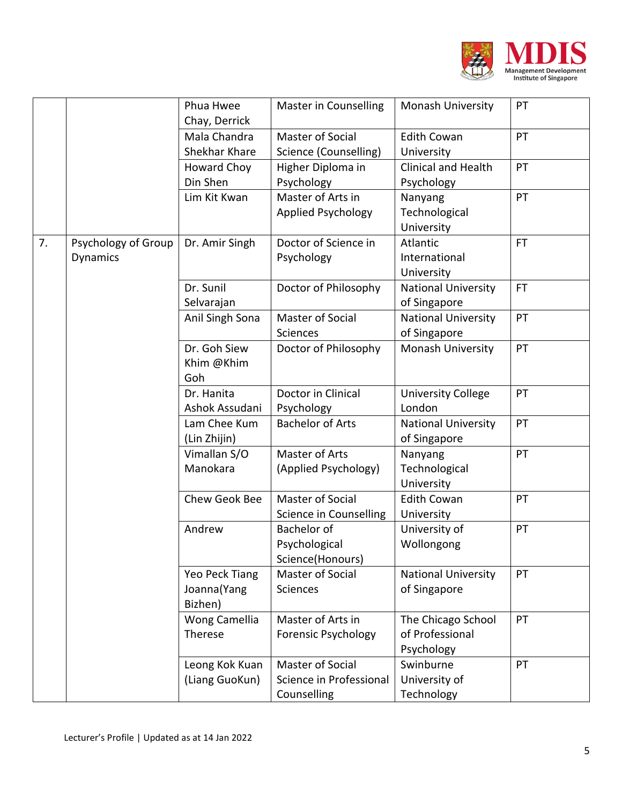

|    |                                        | Phua Hwee<br>Chay, Derrick               | Master in Counselling                                             | <b>Monash University</b>                            | PT        |
|----|----------------------------------------|------------------------------------------|-------------------------------------------------------------------|-----------------------------------------------------|-----------|
|    |                                        | Mala Chandra<br>Shekhar Khare            | Master of Social<br>Science (Counselling)                         | <b>Edith Cowan</b><br>University                    | PT        |
|    |                                        | <b>Howard Choy</b><br>Din Shen           | Higher Diploma in<br>Psychology                                   | <b>Clinical and Health</b><br>Psychology            | PT        |
|    |                                        | Lim Kit Kwan                             | Master of Arts in<br><b>Applied Psychology</b>                    | Nanyang<br>Technological<br>University              | PT        |
| 7. | Psychology of Group<br><b>Dynamics</b> | Dr. Amir Singh                           | Doctor of Science in<br>Psychology                                | Atlantic<br>International<br>University             | <b>FT</b> |
|    |                                        | Dr. Sunil<br>Selvarajan                  | Doctor of Philosophy                                              | <b>National University</b><br>of Singapore          | FT.       |
|    |                                        | Anil Singh Sona                          | Master of Social<br>Sciences                                      | <b>National University</b><br>of Singapore          | PT        |
|    |                                        | Dr. Goh Siew<br>Khim @Khim<br>Goh        | Doctor of Philosophy                                              | Monash University                                   | PT        |
|    |                                        | Dr. Hanita<br>Ashok Assudani             | Doctor in Clinical<br>Psychology                                  | <b>University College</b><br>London                 | PT        |
|    |                                        | Lam Chee Kum<br>(Lin Zhijin)             | <b>Bachelor of Arts</b>                                           | <b>National University</b><br>of Singapore          | PT        |
|    |                                        | Vimallan S/O<br>Manokara                 | Master of Arts<br>(Applied Psychology)                            | Nanyang<br>Technological<br>University              | PT        |
|    |                                        | Chew Geok Bee                            | <b>Master of Social</b><br>Science in Counselling                 | <b>Edith Cowan</b><br>University                    | PT        |
|    |                                        | Andrew                                   | <b>Bachelor of</b><br>Psychological<br>Science(Honours)           | University of<br>Wollongong                         | PT        |
|    |                                        | Yeo Peck Tiang<br>Joanna(Yang<br>Bizhen) | Master of Social<br>Sciences                                      | <b>National University</b><br>of Singapore          | PT        |
|    |                                        | Wong Camellia<br>Therese                 | Master of Arts in<br><b>Forensic Psychology</b>                   | The Chicago School<br>of Professional<br>Psychology | PT        |
|    |                                        | Leong Kok Kuan<br>(Liang GuoKun)         | <b>Master of Social</b><br>Science in Professional<br>Counselling | Swinburne<br>University of<br>Technology            | PT        |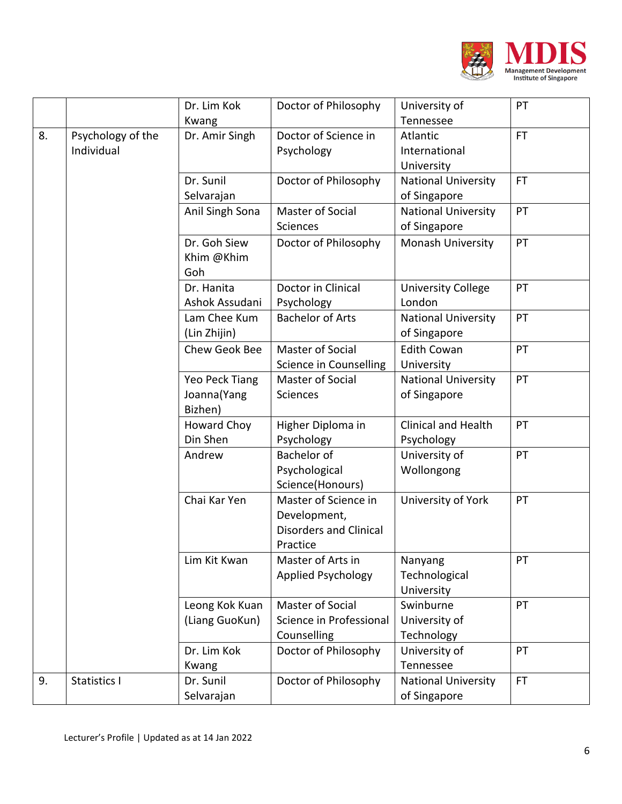

|    |                                 | Dr. Lim Kok                              | Doctor of Philosophy                                                              | University of                              | PT        |
|----|---------------------------------|------------------------------------------|-----------------------------------------------------------------------------------|--------------------------------------------|-----------|
| 8. | Psychology of the<br>Individual | Kwang<br>Dr. Amir Singh                  | Doctor of Science in<br>Psychology                                                | Tennessee<br>Atlantic<br>International     | <b>FT</b> |
|    |                                 |                                          |                                                                                   | University                                 |           |
|    |                                 | Dr. Sunil<br>Selvarajan                  | Doctor of Philosophy                                                              | <b>National University</b><br>of Singapore | <b>FT</b> |
|    |                                 | Anil Singh Sona                          | Master of Social<br><b>Sciences</b>                                               | <b>National University</b><br>of Singapore | PT        |
|    |                                 | Dr. Goh Siew<br>Khim @Khim<br>Goh        | Doctor of Philosophy                                                              | Monash University                          | PT        |
|    |                                 | Dr. Hanita<br>Ashok Assudani             | Doctor in Clinical<br>Psychology                                                  | <b>University College</b><br>London        | PT        |
|    |                                 | Lam Chee Kum<br>(Lin Zhijin)             | <b>Bachelor of Arts</b>                                                           | <b>National University</b><br>of Singapore | PT        |
|    |                                 | Chew Geok Bee                            | Master of Social<br>Science in Counselling                                        | <b>Edith Cowan</b><br>University           | PT        |
|    |                                 | Yeo Peck Tiang<br>Joanna(Yang<br>Bizhen) | <b>Master of Social</b><br><b>Sciences</b>                                        | <b>National University</b><br>of Singapore | PT        |
|    |                                 | Howard Choy<br>Din Shen                  | Higher Diploma in<br>Psychology                                                   | <b>Clinical and Health</b><br>Psychology   | PT        |
|    |                                 | Andrew                                   | Bachelor of<br>Psychological<br>Science(Honours)                                  | University of<br>Wollongong                | PT        |
|    |                                 | Chai Kar Yen                             | Master of Science in<br>Development,<br><b>Disorders and Clinical</b><br>Practice | University of York                         | PT        |
|    |                                 | Lim Kit Kwan                             | Master of Arts in<br><b>Applied Psychology</b>                                    | Nanyang<br>Technological<br>University     | PT        |
|    |                                 | Leong Kok Kuan<br>(Liang GuoKun)         | Master of Social<br>Science in Professional<br>Counselling                        | Swinburne<br>University of<br>Technology   | PT        |
|    |                                 | Dr. Lim Kok<br>Kwang                     | Doctor of Philosophy                                                              | University of<br>Tennessee                 | PT        |
| 9. | Statistics I                    | Dr. Sunil<br>Selvarajan                  | Doctor of Philosophy                                                              | <b>National University</b><br>of Singapore | <b>FT</b> |